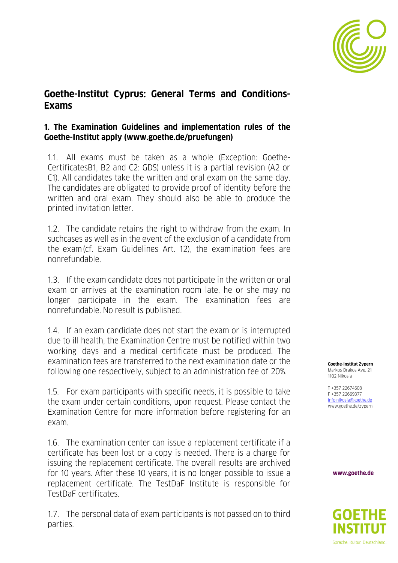

# **Goethe-Institut Cyprus: General Terms and Conditions-Exams**

### **1. The Examination Guidelines and implementation rules of the Goethe-Institut apply [\(www.goethe.de/pruefungen\)](http://www.goethe.de/pruefungen))**

1.1. All exams must be taken as a whole (Exception: Goethe-CertificatesB1, B2 and C2: GDS) unless it is a partial revision (A2 or C1). All candidates take the written and oral exam on the same day. The candidates are obligated to provide proof of identity before the written and oral exam. They should also be able to produce the printed invitation letter.

1.2. The candidate retains the right to withdraw from the exam. In suchcases as well as in the event of the exclusion of a candidate from the exam(cf. Exam Guidelines Art. 12), the examination fees are nonrefundable.

1.3. If the exam candidate does not participate in the written or oral exam or arrives at the examination room late, he or she may no longer participate in the exam. The examination fees are nonrefundable. No result is published.

1.4. If an exam candidate does not start the exam or is interrupted due to ill health, the Examination Centre must be notified within two working days and a medical certificate must be produced. The examination fees are transferred to the next examination date or the following one respectively, subject to an administration fee of 20%.

1.5. For exam participants with specific needs, it is possible to take the exam under certain conditions, upon request. Please contact the Examination Centre for more information before registering for an exam.

1.6. The examination center can issue a replacement certificate if a certificate has been lost or a copy is needed. There is a charge for issuing the replacement certificate. The overall results are archived for 10 years. After these 10 years, it is no longer possible to issue a replacement certificate. The TestDaF Institute is responsible for TestDaF certificates.

1.7. The personal data of exam participants is not passed on to third parties.

**Goethe-Institut Zypern** Markos Drakos Ave. 21 1102 Nikosia

T +357 22674608 F +357 22669377 [info.nikosia@goethe.de](mailto:info.nikosia@goethe.de) www.goethe.de/zypern

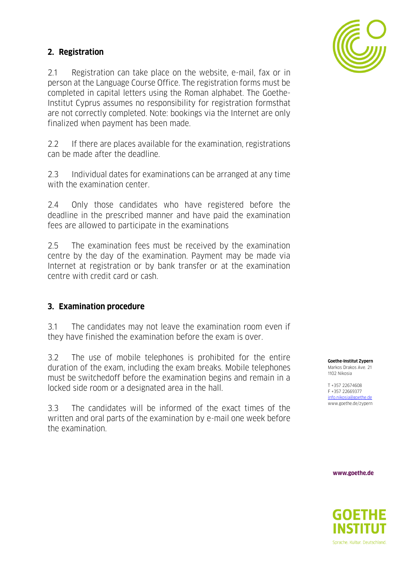## **2. Registration**

2.1 Registration can take place on the website, e-mail, fax or in person at the Language Course Office. The registration forms must be completed in capital letters using the Roman alphabet. The Goethe-Institut Cyprus assumes no responsibility for registration formsthat are not correctly completed. Note: bookings via the Internet are only finalized when payment has been made.

2.2 If there are places available for the examination, registrations can be made after the deadline.

2.3 Individual dates for examinations can be arranged at any time with the examination center.

2.4 Only those candidates who have registered before the deadline in the prescribed manner and have paid the examination fees are allowed to participate in the examinations

2.5 The examination fees must be received by the examination centre by the day of the examination. Payment may be made via Internet at registration or by bank transfer or at the examination centre with credit card or cash.

### **3. Examination procedure**

3.1 The candidates may not leave the examination room even if they have finished the examination before the exam is over.

3.2 The use of mobile telephones is prohibited for the entire duration of the exam, including the exam breaks. Mobile telephones must be switchedoff before the examination begins and remain in a locked side room or a designated area in the hall.

3.3 The candidates will be informed of the exact times of the written and oral parts of the examination by e-mail one week before the examination.

**Goethe-Institut Zypern** Markos Drakos Ave. 21 1102 Nikosia

T +357 22674608 F +357 22669377 [info.nikosia@goethe.de](mailto:info.nikosia@goethe.de) www.goethe.de/zypern



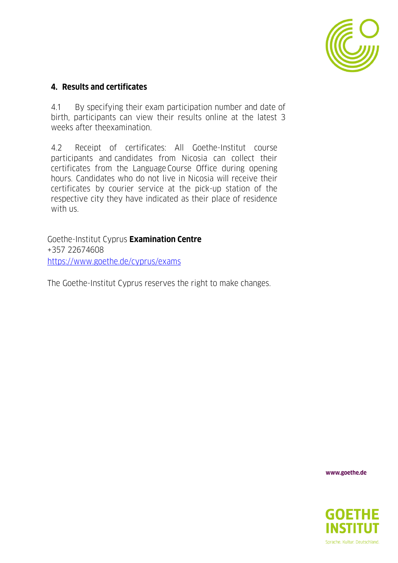

### **4. Results and certificates**

4.1 By specifying their exam participation number and date of birth, participants can view their results online at the latest 3 weeks after theexamination.

4.2 Receipt of certificates: All Goethe-Institut course participants and candidates from Nicosia can collect their certificates from the Language Course Office during opening hours. Candidates who do not live in Nicosia will receive their certificates by courier service at the pick-up station of the respective city they have indicated as their place of residence with us.

Goethe-Institut Cyprus **Examination Centre** +357 22674608 https://www.goethe.de/cyprus/exams

The Goethe-Institut Cyprus reserves the right to make changes.